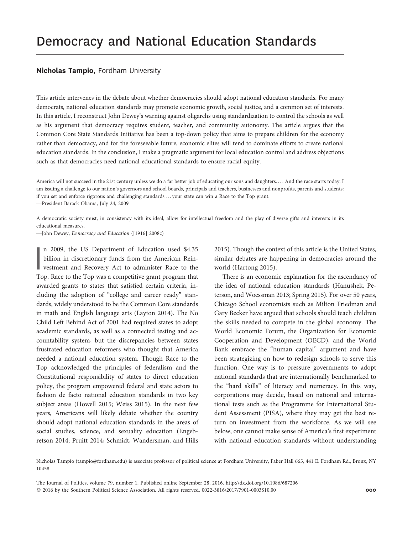## Nicholas Tampio, Fordham University

This article intervenes in the debate about whether democracies should adopt national education standards. For many democrats, national education standards may promote economic growth, social justice, and a common set of interests. In this article, I reconstruct John Dewey's warning against oligarchs using standardization to control the schools as well as his argument that democracy requires student, teacher, and community autonomy. The article argues that the Common Core State Standards Initiative has been a top-down policy that aims to prepare children for the economy rather than democracy, and for the foreseeable future, economic elites will tend to dominate efforts to create national education standards. In the conclusion, I make a pragmatic argument for local education control and address objections such as that democracies need national educational standards to ensure racial equity.

America will not succeed in the 21st century unless we do a far better job of educating our sons and daughters. . . . And the race starts today. I am issuing a challenge to our nation's governors and school boards, principals and teachers, businesses and nonprofits, parents and students: if you set and enforce rigorous and challenging standards . . . your state can win a Race to the Top grant.

—President Barack Obama, July 24, 2009

A democratic society must, in consistency with its ideal, allow for intellectual freedom and the play of diverse gifts and interests in its educational measures.

—John Dewey, Democracy and Education ([1916] 2008c)

 $\prod_{\mathrm{L}}$ n 2009, the US Department of Education used \$4.35 billion in discretionary funds from the American Reinvestment and Recovery Act to administer Race to the Top. Race to the Top was a competitive grant program that awarded grants to states that satisfied certain criteria, including the adoption of "college and career ready" standards, widely understood to be the Common Core standards in math and English language arts (Layton 2014). The No Child Left Behind Act of 2001 had required states to adopt academic standards, as well as a connected testing and accountability system, but the discrepancies between states frustrated education reformers who thought that America needed a national education system. Though Race to the Top acknowledged the principles of federalism and the Constitutional responsibility of states to direct education policy, the program empowered federal and state actors to fashion de facto national education standards in two key subject areas (Howell 2015; Weiss 2015). In the next few years, Americans will likely debate whether the country should adopt national education standards in the areas of social studies, science, and sexuality education (Engebretson 2014; Pruitt 2014; Schmidt, Wandersman, and Hills

2015). Though the context of this article is the United States, similar debates are happening in democracies around the world (Hartong 2015).

There is an economic explanation for the ascendancy of the idea of national education standards (Hanushek, Peterson, and Woessman 2013; Spring 2015). For over 50 years, Chicago School economists such as Milton Friedman and Gary Becker have argued that schools should teach children the skills needed to compete in the global economy. The World Economic Forum, the Organization for Economic Cooperation and Development (OECD), and the World Bank embrace the "human capital" argument and have been strategizing on how to redesign schools to serve this function. One way is to pressure governments to adopt national standards that are internationally benchmarked to the "hard skills" of literacy and numeracy. In this way, corporations may decide, based on national and international tests such as the Programme for International Student Assessment (PISA), where they may get the best return on investment from the workforce. As we will see below, one cannot make sense of America's first experiment with national education standards without understanding

The Journal of Politics, volume 79, number 1. Published online September 28, 2016. http://dx.doi.org/10.1086/687206  $@$  2016 by the Southern Political Science Association. All rights reserved. 0022-3816/2017/7901-0003\$10.00  $@$  000

Nicholas Tampio (tampio@fordham.edu) is associate professor of political science at Fordham University, Faber Hall 665, 441 E. Fordham Rd., Bronx, NY 10458.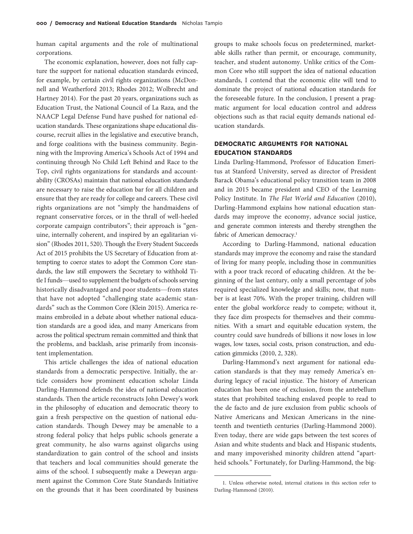human capital arguments and the role of multinational corporations.

The economic explanation, however, does not fully capture the support for national education standards evinced, for example, by certain civil rights organizations (McDonnell and Weatherford 2013; Rhodes 2012; Wolbrecht and Hartney 2014). For the past 20 years, organizations such as Education Trust, the National Council of La Raza, and the NAACP Legal Defense Fund have pushed for national education standards. These organizations shape educational discourse, recruit allies in the legislative and executive branch, and forge coalitions with the business community. Beginning with the Improving America's Schools Act of 1994 and continuing through No Child Left Behind and Race to the Top, civil rights organizations for standards and accountability (CROSAs) maintain that national education standards are necessary to raise the education bar for all children and ensure that they are ready for college and careers. These civil rights organizations are not "simply the handmaidens of regnant conservative forces, or in the thrall of well-heeled corporate campaign contributors"; their approach is "genuine, internally coherent, and inspired by an egalitarian vision" (Rhodes 2011, 520). Though the Every Student Succeeds Act of 2015 prohibits the US Secretary of Education from attempting to coerce states to adopt the Common Core standards, the law still empowers the Secretary to withhold Title I funds—used to supplement the budgets of schools serving historically disadvantaged and poor students—from states that have not adopted "challenging state academic standards" such as the Common Core (Klein 2015). America remains embroiled in a debate about whether national education standards are a good idea, and many Americans from across the political spectrum remain committed and think that the problems, and backlash, arise primarily from inconsistent implementation.

This article challenges the idea of national education standards from a democratic perspective. Initially, the article considers how prominent education scholar Linda Darling-Hammond defends the idea of national education standards. Then the article reconstructs John Dewey's work in the philosophy of education and democratic theory to gain a fresh perspective on the question of national education standards. Though Dewey may be amenable to a strong federal policy that helps public schools generate a great community, he also warns against oligarchs using standardization to gain control of the school and insists that teachers and local communities should generate the aims of the school. I subsequently make a Deweyan argument against the Common Core State Standards Initiative on the grounds that it has been coordinated by business

groups to make schools focus on predetermined, marketable skills rather than permit, or encourage, community, teacher, and student autonomy. Unlike critics of the Common Core who still support the idea of national education standards, I contend that the economic elite will tend to dominate the project of national education standards for the foreseeable future. In the conclusion, I present a pragmatic argument for local education control and address objections such as that racial equity demands national education standards.

# DEMOCRATIC ARGUMENTS FOR NATIONAL EDUCATION STANDARDS

Linda Darling-Hammond, Professor of Education Emeritus at Stanford University, served as director of President Barack Obama's educational policy transition team in 2008 and in 2015 became president and CEO of the Learning Policy Institute. In The Flat World and Education (2010), Darling-Hammond explains how national education standards may improve the economy, advance social justice, and generate common interests and thereby strengthen the fabric of American democracy.<sup>1</sup>

According to Darling-Hammond, national education standards may improve the economy and raise the standard of living for many people, including those in communities with a poor track record of educating children. At the beginning of the last century, only a small percentage of jobs required specialized knowledge and skills; now, that number is at least 70%. With the proper training, children will enter the global workforce ready to compete; without it, they face dim prospects for themselves and their communities. With a smart and equitable education system, the country could save hundreds of billions it now loses in low wages, low taxes, social costs, prison construction, and education gimmicks (2010, 2, 328).

Darling-Hammond's next argument for national education standards is that they may remedy America's enduring legacy of racial injustice. The history of American education has been one of exclusion, from the antebellum states that prohibited teaching enslaved people to read to the de facto and de jure exclusion from public schools of Native Americans and Mexican Americans in the nineteenth and twentieth centuries (Darling-Hammond 2000). Even today, there are wide gaps between the test scores of Asian and white students and black and Hispanic students, and many impoverished minority children attend "apartheid schools." Fortunately, for Darling-Hammond, the big-

<sup>1.</sup> Unless otherwise noted, internal citations in this section refer to Darling-Hammond (2010).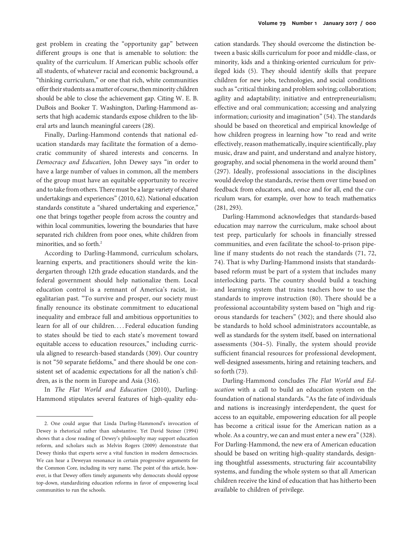gest problem in creating the "opportunity gap" between different groups is one that is amenable to solution: the quality of the curriculum. If American public schools offer all students, of whatever racial and economic background, a "thinking curriculum," or one that rich, white communities offer their students as a matter of course, then minority children should be able to close the achievement gap. Citing W. E. B. DuBois and Booker T. Washington, Darling-Hammond asserts that high academic standards expose children to the liberal arts and launch meaningful careers (28).

Finally, Darling-Hammond contends that national education standards may facilitate the formation of a democratic community of shared interests and concerns. In Democracy and Education, John Dewey says "in order to have a large number of values in common, all the members of the group must have an equitable opportunity to receive and to take from others. There must be a large variety of shared undertakings and experiences" (2010, 62). National education standards constitute a "shared undertaking and experience," one that brings together people from across the country and within local communities, lowering the boundaries that have separated rich children from poor ones, white children from minorities, and so forth.<sup>2</sup>

According to Darling-Hammond, curriculum scholars, learning experts, and practitioners should write the kindergarten through 12th grade education standards, and the federal government should help nationalize them. Local education control is a remnant of America's racist, inegalitarian past. "To survive and prosper, our society must finally renounce its obstinate commitment to educational inequality and embrace full and ambitious opportunities to learn for all of our children.... Federal education funding to states should be tied to each state's movement toward equitable access to education resources," including curricula aligned to research-based standards (309). Our country is not "50 separate fiefdoms," and there should be one consistent set of academic expectations for all the nation's children, as is the norm in Europe and Asia (316).

In The Flat World and Education (2010), Darling-Hammond stipulates several features of high-quality edu-

cation standards. They should overcome the distinction between a basic skills curriculum for poor and middle-class, or minority, kids and a thinking-oriented curriculum for privileged kids (5). They should identify skills that prepare children for new jobs, technologies, and social conditions such as "critical thinking and problem solving; collaboration; agility and adaptability; initiative and entrepreneurialism; effective and oral communication; accessing and analyzing information; curiosity and imagination" (54). The standards should be based on theoretical and empirical knowledge of how children progress in learning how "to read and write effectively, reason mathematically, inquire scientifically, play music, draw and paint, and understand and analyze history, geography, and social phenomena in the world around them" (297). Ideally, professional associations in the disciplines would develop the standards, revise them over time based on feedback from educators, and, once and for all, end the curriculum wars, for example, over how to teach mathematics (281, 293).

Darling-Hammond acknowledges that standards-based education may narrow the curriculum, make school about test prep, particularly for schools in financially stressed communities, and even facilitate the school-to-prison pipeline if many students do not reach the standards (71, 72, 74). That is why Darling-Hammond insists that standardsbased reform must be part of a system that includes many interlocking parts. The country should build a teaching and learning system that trains teachers how to use the standards to improve instruction (80). There should be a professional accountability system based on "high and rigorous standards for teachers" (302); and there should also be standards to hold school administrators accountable, as well as standards for the system itself, based on international assessments (304–5). Finally, the system should provide sufficient financial resources for professional development, well-designed assessments, hiring and retaining teachers, and so forth (73).

Darling-Hammond concludes The Flat World and Education with a call to build an education system on the foundation of national standards. "As the fate of individuals and nations is increasingly interdependent, the quest for access to an equitable, empowering education for all people has become a critical issue for the American nation as a whole. As a country, we can and must enter a new era"(328). For Darling-Hammond, the new era of American education should be based on writing high-quality standards, designing thoughtful assessments, structuring fair accountability systems, and funding the whole system so that all American children receive the kind of education that has hitherto been available to children of privilege.

<sup>2.</sup> One could argue that Linda Darling-Hammond's invocation of Dewey is rhetorical rather than substantive. Yet David Steiner (1994) shows that a close reading of Dewey's philosophy may support education reform, and scholars such as Melvin Rogers (2009) demonstrate that Dewey thinks that experts serve a vital function in modern democracies. We can hear a Deweyan resonance in certain progressive arguments for the Common Core, including its very name. The point of this article, however, is that Dewey offers timely arguments why democrats should oppose top-down, standardizing education reforms in favor of empowering local communities to run the schools.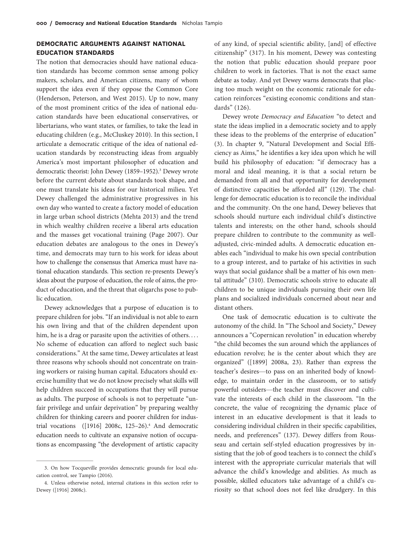# DEMOCRATIC ARGUMENTS AGAINST NATIONAL EDUCATION STANDARDS

The notion that democracies should have national education standards has become common sense among policy makers, scholars, and American citizens, many of whom support the idea even if they oppose the Common Core (Henderson, Peterson, and West 2015). Up to now, many of the most prominent critics of the idea of national education standards have been educational conservatives, or libertarians, who want states, or families, to take the lead in educating children (e.g., McCluskey 2010). In this section, I articulate a democratic critique of the idea of national education standards by reconstructing ideas from arguably America's most important philosopher of education and democratic theorist: John Dewey (1859-1952).<sup>3</sup> Dewey wrote before the current debate about standards took shape, and one must translate his ideas for our historical milieu. Yet Dewey challenged the administrative progressives in his own day who wanted to create a factory model of education in large urban school districts (Mehta 2013) and the trend in which wealthy children receive a liberal arts education and the masses get vocational training (Page 2007). Our education debates are analogous to the ones in Dewey's time, and democrats may turn to his work for ideas about how to challenge the consensus that America must have national education standards. This section re-presents Dewey's ideas about the purpose of education, the role of aims, the product of education, and the threat that oligarchs pose to public education.

Dewey acknowledges that a purpose of education is to prepare children for jobs. "If an individual is not able to earn his own living and that of the children dependent upon him, he is a drag or parasite upon the activities of others. . . . No scheme of education can afford to neglect such basic considerations." At the same time, Dewey articulates at least three reasons why schools should not concentrate on training workers or raising human capital. Educators should exercise humility that we do not know precisely what skills will help children succeed in occupations that they will pursue as adults. The purpose of schools is not to perpetuate "unfair privilege and unfair deprivation" by preparing wealthy children for thinking careers and poorer children for industrial vocations  $([1916] 2008c, 125-26).$ <sup>4</sup> And democratic education needs to cultivate an expansive notion of occupations as encompassing "the development of artistic capacity

of any kind, of special scientific ability, [and] of effective citizenship" (317). In his moment, Dewey was contesting the notion that public education should prepare poor children to work in factories. That is not the exact same debate as today. And yet Dewey warns democrats that placing too much weight on the economic rationale for education reinforces "existing economic conditions and standards" (126).

Dewey wrote Democracy and Education "to detect and state the ideas implied in a democratic society and to apply these ideas to the problems of the enterprise of education" (3). In chapter 9, "Natural Development and Social Efficiency as Aims," he identifies a key idea upon which he will build his philosophy of education: "if democracy has a moral and ideal meaning, it is that a social return be demanded from all and that opportunity for development of distinctive capacities be afforded all" (129). The challenge for democratic education is to reconcile the individual and the community. On the one hand, Dewey believes that schools should nurture each individual child's distinctive talents and interests; on the other hand, schools should prepare children to contribute to the community as welladjusted, civic-minded adults. A democratic education enables each "individual to make his own special contribution to a group interest, and to partake of his activities in such ways that social guidance shall be a matter of his own mental attitude" (310). Democratic schools strive to educate all children to be unique individuals pursuing their own life plans and socialized individuals concerned about near and distant others.

One task of democratic education is to cultivate the autonomy of the child. In "The School and Society," Dewey announces a "Copernican revolution" in education whereby "the child becomes the sun around which the appliances of education revolve; he is the center about which they are organized" ([1899] 2008a, 23). Rather than express the teacher's desires—to pass on an inherited body of knowledge, to maintain order in the classroom, or to satisfy powerful outsiders—the teacher must discover and cultivate the interests of each child in the classroom. "In the concrete, the value of recognizing the dynamic place of interest in an educative development is that it leads to considering individual children in their specific capabilities, needs, and preferences" (137). Dewey differs from Rousseau and certain self-styled education progressives by insisting that the job of good teachers is to connect the child's interest with the appropriate curricular materials that will advance the child's knowledge and abilities. As much as possible, skilled educators take advantage of a child's curiosity so that school does not feel like drudgery. In this

<sup>3.</sup> On how Tocqueville provides democratic grounds for local education control, see Tampio (2016).

<sup>4.</sup> Unless otherwise noted, internal citations in this section refer to Dewey ([1916] 2008c).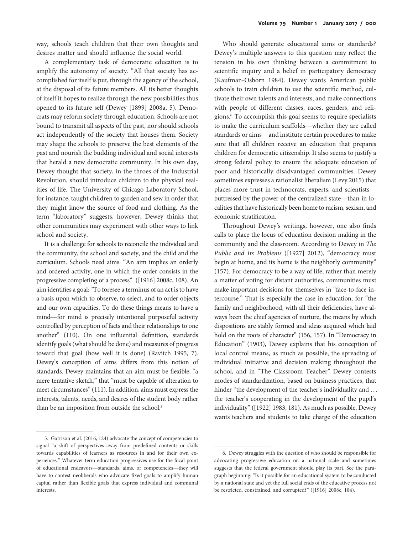A complementary task of democratic education is to amplify the autonomy of society. "All that society has accomplished for itself is put, through the agency of the school, at the disposal of its future members. All its better thoughts of itself it hopes to realize through the new possibilities thus opened to its future self (Dewey [1899] 2008a, 5). Democrats may reform society through education. Schools are not bound to transmit all aspects of the past, nor should schools act independently of the society that houses them. Society may shape the schools to preserve the best elements of the past and nourish the budding individual and social interests that herald a new democratic community. In his own day, Dewey thought that society, in the throes of the Industrial Revolution, should introduce children to the physical realities of life. The University of Chicago Laboratory School, for instance, taught children to garden and sew in order that they might know the source of food and clothing. As the term "laboratory" suggests, however, Dewey thinks that other communities may experiment with other ways to link school and society.

It is a challenge for schools to reconcile the individual and the community, the school and society, and the child and the curriculum. Schools need aims. "An aim implies an orderly and ordered activity, one in which the order consists in the progressive completing of a process" ([1916] 2008c, 108). An aim identifies a goal:"To foresee a terminus of an act is to have a basis upon which to observe, to select, and to order objects and our own capacities. To do these things means to have a mind—for mind is precisely intentional purposeful activity controlled by perception of facts and their relationships to one another" (110). On one influential definition, standards identify goals (what should be done) and measures of progress toward that goal (how well it is done) (Ravitch 1995, 7). Dewey's conception of aims differs from this notion of standards. Dewey maintains that an aim must be flexible, "a mere tentative sketch," that "must be capable of alteration to meet circumstances" (111). In addition, aims must express the interests, talents, needs, and desires of the student body rather than be an imposition from outside the school.<sup>5</sup>

Who should generate educational aims or standards? Dewey's multiple answers to this question may reflect the tension in his own thinking between a commitment to scientific inquiry and a belief in participatory democracy (Kaufman-Osborn 1984). Dewey wants American public schools to train children to use the scientific method, cultivate their own talents and interests, and make connections with people of different classes, races, genders, and religions.6 To accomplish this goal seems to require specialists to make the curriculum scaffolds—whether they are called standards or aims—and institute certain procedures to make sure that all children receive an education that prepares children for democratic citizenship. It also seems to justify a strong federal policy to ensure the adequate education of poor and historically disadvantaged communities. Dewey sometimes expresses a rationalist liberalism (Levy 2015) that places more trust in technocrats, experts, and scientists buttressed by the power of the centralized state—than in localities that have historically been home to racism, sexism, and economic stratification.

Throughout Dewey's writings, however, one also finds calls to place the locus of education decision making in the community and the classroom. According to Dewey in The Public and Its Problems ([1927] 2012), "democracy must begin at home, and its home is the neighborly community" (157). For democracy to be a way of life, rather than merely a matter of voting for distant authorities, communities must make important decisions for themselves in "face-to-face intercourse." That is especially the case in education, for "the family and neighborhood, with all their deficiencies, have always been the chief agencies of nurture, the means by which dispositions are stably formed and ideas acquired which laid hold on the roots of character" (156, 157). In "Democracy in Education" (1903), Dewey explains that his conception of local control means, as much as possible, the spreading of individual initiative and decision making throughout the school, and in "The Classroom Teacher" Dewey contests modes of standardization, based on business practices, that hinder "the development of the teacher's individuality and ... the teacher's cooperating in the development of the pupil's individuality" ([1922] 1983, 181). As much as possible, Dewey wants teachers and students to take charge of the education

<sup>5.</sup> Garrison et al. (2016, 124) advocate the concept of competencies to signal "a shift of perspectives away from predefined contents or skills towards capabilities of learners as resources in and for their own experiences." Whatever term education progressives use for the focal point of educational endeavors—standards, aims, or competencies—they will have to contest neoliberals who advocate fixed goals to amplify human capital rather than flexible goals that express individual and communal interests.

<sup>6.</sup> Dewey struggles with the question of who should be responsible for advocating progressive education on a national scale and sometimes suggests that the federal government should play its part. See the paragraph beginning: "Is it possible for an educational system to be conducted by a national state and yet the full social ends of the educative process not be restricted, constrained, and corrupted?" ([1916] 2008c, 104).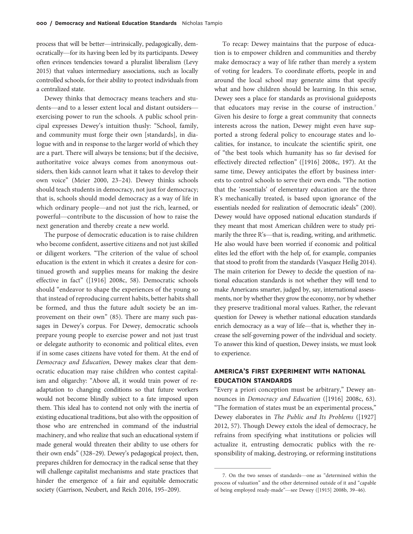process that will be better—intrinsically, pedagogically, democratically—for its having been led by its participants. Dewey often evinces tendencies toward a pluralist liberalism (Levy 2015) that values intermediary associations, such as locally controlled schools, for their ability to protect individuals from a centralized state.

Dewey thinks that democracy means teachers and students—and to a lesser extent local and distant outsiders exercising power to run the schools. A public school principal expresses Dewey's intuition thusly: "School, family, and community must forge their own [standards], in dialogue with and in response to the larger world of which they are a part. There will always be tensions; but if the decisive, authoritative voice always comes from anonymous outsiders, then kids cannot learn what it takes to develop their own voice" (Meier 2000, 23–24). Dewey thinks schools should teach students in democracy, not just for democracy; that is, schools should model democracy as a way of life in which ordinary people—and not just the rich, learned, or powerful—contribute to the discussion of how to raise the next generation and thereby create a new world.

The purpose of democratic education is to raise children who become confident, assertive citizens and not just skilled or diligent workers. "The criterion of the value of school education is the extent in which it creates a desire for continued growth and supplies means for making the desire effective in fact" ([1916] 2008c, 58). Democratic schools should "endeavor to shape the experiences of the young so that instead of reproducing current habits, better habits shall be formed, and thus the future adult society be an improvement on their own" (85). There are many such passages in Dewey's corpus. For Dewey, democratic schools prepare young people to exercise power and not just trust or delegate authority to economic and political elites, even if in some cases citizens have voted for them. At the end of Democracy and Education, Dewey makes clear that democratic education may raise children who contest capitalism and oligarchy: "Above all, it would train power of readaptation to changing conditions so that future workers would not become blindly subject to a fate imposed upon them. This ideal has to contend not only with the inertia of existing educational traditions, but also with the opposition of those who are entrenched in command of the industrial machinery, and who realize that such an educational system if made general would threaten their ability to use others for their own ends" (328–29). Dewey's pedagogical project, then, prepares children for democracy in the radical sense that they will challenge capitalist mechanisms and state practices that hinder the emergence of a fair and equitable democratic society (Garrison, Neubert, and Reich 2016, 195–209).

To recap: Dewey maintains that the purpose of education is to empower children and communities and thereby make democracy a way of life rather than merely a system of voting for leaders. To coordinate efforts, people in and around the local school may generate aims that specify what and how children should be learning. In this sense, Dewey sees a place for standards as provisional guideposts that educators may revise in the course of instruction.<sup>7</sup> Given his desire to forge a great community that connects interests across the nation, Dewey might even have supported a strong federal policy to encourage states and localities, for instance, to inculcate the scientific spirit, one of "the best tools which humanity has so far devised for effectively directed reflection" ([1916] 2008c, 197). At the same time, Dewey anticipates the effort by business interests to control schools to serve their own ends. "The notion that the 'essentials' of elementary education are the three R's mechanically treated, is based upon ignorance of the essentials needed for realization of democratic ideals" (200). Dewey would have opposed national education standards if they meant that most American children were to study primarily the three R's—that is, reading, writing, and arithmetic. He also would have been worried if economic and political elites led the effort with the help of, for example, companies that stood to profit from the standards (Vasquez Heilig 2014). The main criterion for Dewey to decide the question of national education standards is not whether they will tend to make Americans smarter, judged by, say, international assessments, nor by whether they grow the economy, nor by whether they preserve traditional moral values. Rather, the relevant question for Dewey is whether national education standards enrich democracy as a way of life—that is, whether they increase the self-governing power of the individual and society. To answer this kind of question, Dewey insists, we must look to experience.

# AMERICA'S FIRST EXPERIMENT WITH NATIONAL EDUCATION STANDARDS

"Every a priori conception must be arbitrary," Dewey announces in Democracy and Education ([1916] 2008c, 63). "The formation of states must be an experimental process," Dewey elaborates in The Public and Its Problems ([1927] 2012, 57). Though Dewey extols the ideal of democracy, he refrains from specifying what institutions or policies will actualize it, entrusting democratic publics with the responsibility of making, destroying, or reforming institutions

<sup>7.</sup> On the two senses of standards—one as "determined within the process of valuation" and the other determined outside of it and "capable of being employed ready-made"—see Dewey ([1915] 2008b, 39–46).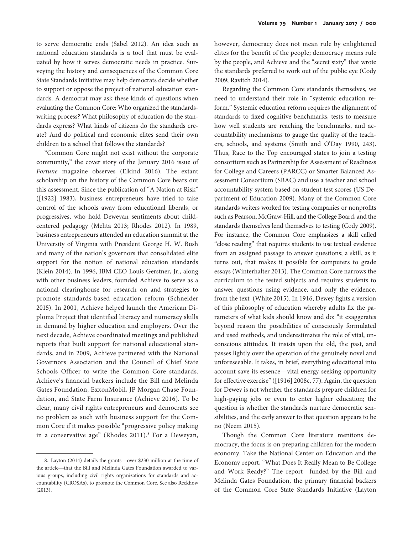to serve democratic ends (Sabel 2012). An idea such as national education standards is a tool that must be evaluated by how it serves democratic needs in practice. Surveying the history and consequences of the Common Core State Standards Initiative may help democrats decide whether to support or oppose the project of national education standards. A democrat may ask these kinds of questions when evaluating the Common Core: Who organized the standardswriting process? What philosophy of education do the standards express? What kinds of citizens do the standards create? And do political and economic elites send their own children to a school that follows the standards?

"Common Core might not exist without the corporate community," the cover story of the January 2016 issue of Fortune magazine observes (Elkind 2016). The extant scholarship on the history of the Common Core bears out this assessment. Since the publication of "A Nation at Risk" ([1922] 1983), business entrepreneurs have tried to take control of the schools away from educational liberals, or progressives, who hold Deweyan sentiments about childcentered pedagogy (Mehta 2013; Rhodes 2012). In 1989, business entrepreneurs attended an education summit at the University of Virginia with President George H. W. Bush and many of the nation's governors that consolidated elite support for the notion of national education standards (Klein 2014). In 1996, IBM CEO Louis Gerstner, Jr., along with other business leaders, founded Achieve to serve as a national clearinghouse for research on and strategies to promote standards-based education reform (Schneider 2015). In 2001, Achieve helped launch the American Diploma Project that identified literacy and numeracy skills in demand by higher education and employers. Over the next decade, Achieve coordinated meetings and published reports that built support for national educational standards, and in 2009, Achieve partnered with the National Governors Association and the Council of Chief State Schools Officer to write the Common Core standards. Achieve's financial backers include the Bill and Melinda Gates Foundation, ExxonMobil, JP Morgan Chase Foundation, and State Farm Insurance (Achieve 2016). To be clear, many civil rights entrepreneurs and democrats see no problem as such with business support for the Common Core if it makes possible "progressive policy making in a conservative age" (Rhodes 2011).<sup>8</sup> For a Deweyan,

however, democracy does not mean rule by enlightened elites for the benefit of the people; democracy means rule by the people, and Achieve and the "secret sixty" that wrote the standards preferred to work out of the public eye (Cody 2009; Ravitch 2014).

Regarding the Common Core standards themselves, we need to understand their role in "systemic education reform." Systemic education reform requires the alignment of standards to fixed cognitive benchmarks, tests to measure how well students are reaching the benchmarks, and accountability mechanisms to gauge the quality of the teachers, schools, and systems (Smith and O'Day 1990, 243). Thus, Race to the Top encouraged states to join a testing consortium such as Partnership for Assessment of Readiness for College and Careers (PARCC) or Smarter Balanced Assessment Consortium (SBAC) and use a teacher and school accountability system based on student test scores (US Department of Education 2009). Many of the Common Core standards writers worked for testing companies or nonprofits such as Pearson, McGraw-Hill, and the College Board, and the standards themselves lend themselves to testing (Cody 2009). For instance, the Common Core emphasizes a skill called "close reading" that requires students to use textual evidence from an assigned passage to answer questions; a skill, as it turns out, that makes it possible for computers to grade essays (Winterhalter 2013). The Common Core narrows the curriculum to the tested subjects and requires students to answer questions using evidence, and only the evidence, from the text (White 2015). In 1916, Dewey fights a version of this philosophy of education whereby adults fix the parameters of what kids should know and do: "it exaggerates beyond reason the possibilities of consciously formulated and used methods, and underestimates the role of vital, unconscious attitudes. It insists upon the old, the past, and passes lightly over the operation of the genuinely novel and unforeseeable. It takes, in brief, everything educational into account save its essence—vital energy seeking opportunity for effective exercise"([1916] 2008c, 77). Again, the question for Dewey is not whether the standards prepare children for high-paying jobs or even to enter higher education; the question is whether the standards nurture democratic sensibilities, and the early answer to that question appears to be no (Neem 2015).

Though the Common Core literature mentions democracy, the focus is on preparing children for the modern economy. Take the National Center on Education and the Economy report, "What Does It Really Mean to Be College and Work Ready?" The report—funded by the Bill and Melinda Gates Foundation, the primary financial backers of the Common Core State Standards Initiative (Layton

<sup>8.</sup> Layton (2014) details the grants—over \$230 million at the time of the article—that the Bill and Melinda Gates Foundation awarded to various groups, including civil rights organizations for standards and accountability (CROSAs), to promote the Common Core. See also Reckhow (2013).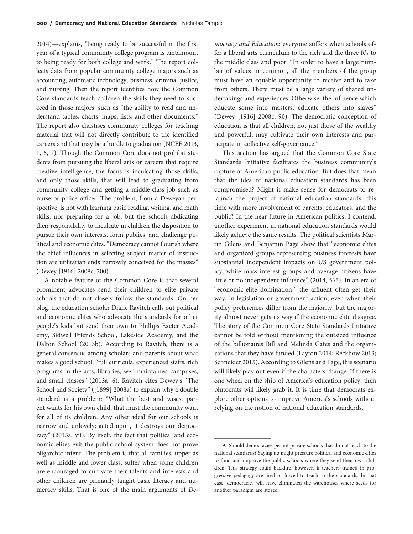2014)—explains, "being ready to be successful in the first year of a typical community college program is tantamount to being ready for both college and work." The report collects data from popular community college majors such as accounting, automatic technology, business, criminal justice, and nursing. Then the report identifies how the Common Core standards teach children the skills they need to succeed in those majors, such as "the ability to read and understand tables, charts, maps, lists, and other documents." The report also chastises community colleges for teaching material that will not directly contribute to the identified careers and that may be a hurdle to graduation (NCEE 2013, 1, 5, 7). Though the Common Core does not prohibit students from pursuing the liberal arts or careers that require creative intelligence, the focus is inculcating those skills, and only those skills, that will lead to graduating from community college and getting a middle-class job such as nurse or police officer. The problem, from a Deweyan perspective, is not with learning basic reading, writing, and math skills, nor preparing for a job, but the schools abdicating their responsibility to inculcate in children the disposition to pursue their own interests, form publics, and challenge political and economic elites. "Democracy cannot flourish where the chief influences in selecting subject matter of instruction are utilitarian ends narrowly conceived for the masses" (Dewey [1916] 2008c, 200).

A notable feature of the Common Core is that several prominent advocates send their children to elite private schools that do not closely follow the standards. On her blog, the education scholar Diane Ravitch calls out political and economic elites who advocate the standards for other people's kids but send their own to Phillips Exeter Academy, Sidwell Friends School, Lakeside Academy, and the Dalton School (2013b). According to Ravitch, there is a general consensus among scholars and parents about what makes a good school: "full curricula, experienced staffs, rich programs in the arts, libraries, well-maintained campuses, and small classes" (2013a, 6). Ravitch cites Dewey's "The School and Society" ([1899] 2008a) to explain why a double standard is a problem: "What the best and wisest parent wants for his own child, that must the community want for all of its children. Any other ideal for our schools is narrow and unlovely; acted upon, it destroys our democracy" (2013a, vii). By itself, the fact that political and economic elites exit the public school system does not prove oligarchic intent. The problem is that all families, upper as well as middle and lower class, suffer when some children are encouraged to cultivate their talents and interests and other children are primarily taught basic literacy and numeracy skills. That is one of the main arguments of De-

mocracy and Education: everyone suffers when schools offer a liberal arts curriculum to the rich and the three R's to the middle class and poor: "In order to have a large number of values in common, all the members of the group must have an equable opportunity to receive and to take from others. There must be a large variety of shared undertakings and experiences. Otherwise, the influence which educate some into masters, educate others into slaves" (Dewey [1916] 2008c, 90). The democratic conception of education is that all children, not just those of the wealthy and powerful, may cultivate their own interests and participate in collective self-governance.<sup>9</sup>

This section has argued that the Common Core State Standards Initiative facilitates the business community's capture of American public education. But does that mean that the idea of national education standards has been compromised? Might it make sense for democrats to relaunch the project of national education standards, this time with more involvement of parents, educators, and the public? In the near future in American politics, I contend, another experiment in national education standards would likely achieve the same results. The political scientists Martin Gilens and Benjamin Page show that "economic elites and organized groups representing business interests have substantial independent impacts on US government policy, while mass-interest groups and average citizens have little or no independent influence" (2014, 565). In an era of "economic-elite domination," the affluent often get their way, in legislation or government action, even when their policy preferences differ from the majority, but the majority almost never gets its way if the economic elite disagree. The story of the Common Core State Standards Initiative cannot be told without mentioning the outsized influence of the billionaires Bill and Melinda Gates and the organizations that they have funded (Layton 2014; Reckhow 2013; Schneider 2015). According to Gilens and Page, this scenario will likely play out even if the characters change. If there is one wheel on the ship of America's education policy, then plutocrats will likely grab it. It is time that democrats explore other options to improve America's schools without relying on the notion of national education standards.

<sup>9.</sup> Should democracies permit private schools that do not teach to the national standards? Saying no might pressure political and economic elites to fund and improve the public schools where they send their own children. This strategy could backfire, however, if teachers trained in progressive pedagogy are fired or forced to teach to the standards. In that case, democracies will have eliminated the warehouses where seeds for another paradigm are stored.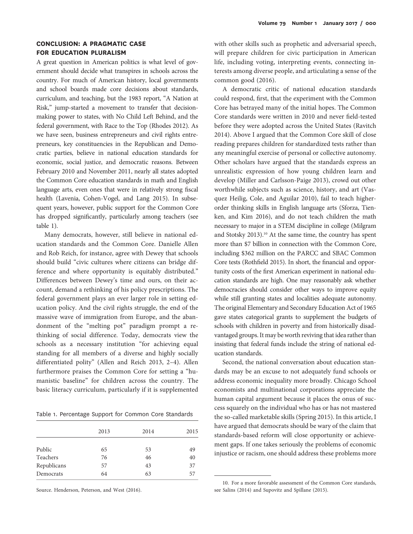## CONCLUSION: A PRAGMATIC CASE FOR EDUCATION PLURALISM

A great question in American politics is what level of government should decide what transpires in schools across the country. For much of American history, local governments and school boards made core decisions about standards, curriculum, and teaching, but the 1983 report, "A Nation at Risk," jump-started a movement to transfer that decisionmaking power to states, with No Child Left Behind, and the federal government, with Race to the Top (Rhodes 2012). As we have seen, business entrepreneurs and civil rights entrepreneurs, key constituencies in the Republican and Democratic parties, believe in national education standards for economic, social justice, and democratic reasons. Between February 2010 and November 2011, nearly all states adopted the Common Core education standards in math and English language arts, even ones that were in relatively strong fiscal health (Lavenia, Cohen-Vogel, and Lang 2015). In subsequent years, however, public support for the Common Core has dropped significantly, particularly among teachers (see table 1).

Many democrats, however, still believe in national education standards and the Common Core. Danielle Allen and Rob Reich, for instance, agree with Dewey that schools should build "civic cultures where citizens can bridge difference and where opportunity is equitably distributed." Differences between Dewey's time and ours, on their account, demand a rethinking of his policy prescriptions. The federal government plays an ever larger role in setting education policy. And the civil rights struggle, the end of the massive wave of immigration from Europe, and the abandonment of the "melting pot" paradigm prompt a rethinking of social difference. Today, democrats view the schools as a necessary institution "for achieving equal standing for all members of a diverse and highly socially differentiated polity" (Allen and Reich 2013, 2–4). Allen furthermore praises the Common Core for setting a "humanistic baseline" for children across the country. The basic literacy curriculum, particularly if it is supplemented

Table 1. Percentage Support for Common Core Standards

|             | 2013 | 2014 | 2015 |
|-------------|------|------|------|
|             |      |      |      |
| Public      | 65   | 53   | 49   |
| Teachers    | 76   | 46   | 40   |
| Republicans | 57   | 43   | 37   |
| Democrats   | 64   | 63   | 57   |

Source. Henderson, Peterson, and West (2016).

with other skills such as prophetic and adversarial speech, will prepare children for civic participation in American life, including voting, interpreting events, connecting interests among diverse people, and articulating a sense of the common good (2016).

A democratic critic of national education standards could respond, first, that the experiment with the Common Core has betrayed many of the initial hopes. The Common Core standards were written in 2010 and never field-tested before they were adopted across the United States (Ravitch 2014). Above I argued that the Common Core skill of close reading prepares children for standardized tests rather than any meaningful exercise of personal or collective autonomy. Other scholars have argued that the standards express an unrealistic expression of how young children learn and develop (Miller and Carlsson-Paige 2013), crowd out other worthwhile subjects such as science, history, and art (Vasquez Heilig, Cole, and Aguilar 2010), fail to teach higherorder thinking skills in English language arts (Sforza, Tienken, and Kim 2016), and do not teach children the math necessary to major in a STEM discipline in college (Milgram and Stotsky 2013).<sup>10</sup> At the same time, the country has spent more than \$7 billion in connection with the Common Core, including \$362 million on the PARCC and SBAC Common Core tests (Rothfield 2015). In short, the financial and opportunity costs of the first American experiment in national education standards are high. One may reasonably ask whether democracies should consider other ways to improve equity while still granting states and localities adequate autonomy. The original Elementary and Secondary Education Act of 1965 gave states categorical grants to supplement the budgets of schools with children in poverty and from historically disadvantaged groups. It may be worth reviving that idea rather than insisting that federal funds include the string of national education standards.

Second, the national conversation about education standards may be an excuse to not adequately fund schools or address economic inequality more broadly. Chicago School economists and multinational corporations appreciate the human capital argument because it places the onus of success squarely on the individual who has or has not mastered the so-called marketable skills (Spring 2015). In this article, I have argued that democrats should be wary of the claim that standards-based reform will close opportunity or achievement gaps. If one takes seriously the problems of economic injustice or racism, one should address these problems more

<sup>10.</sup> For a more favorable assessment of the Common Core standards, see Salins (2014) and Supovitz and Spillane (2015).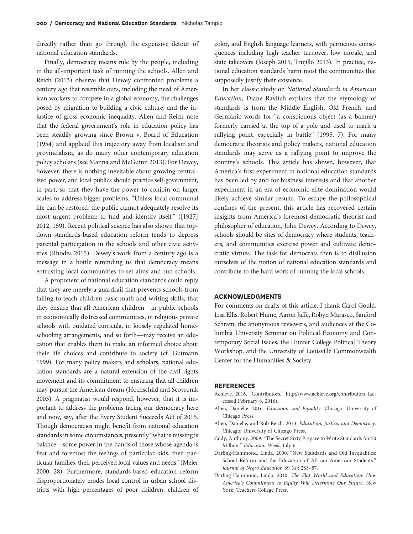directly rather than go through the expensive detour of national education standards.

Finally, democracy means rule by the people, including in the all-important task of running the schools. Allen and Reich (2013) observe that Dewey confronted problems a century ago that resemble ours, including the need of American workers to compete in a global economy, the challenges posed by migration to building a civic culture, and the injustice of gross economic inequality. Allen and Reich note that the federal government's role in education policy has been steadily growing since Brown v. Board of Education (1954) and applaud this trajectory away from localism and provincialism, as do many other contemporary education policy scholars (see Manna and McGuinn 2013). For Dewey, however, there is nothing inevitable about growing centralized power, and local publics should practice self-government, in part, so that they have the power to conjoin on larger scales to address bigger problems. "Unless local communal life can be restored, the public cannot adequately resolve its most urgent problem: to find and identify itself" ([1927] 2012, 159). Recent political science has also shown that topdown standards-based education reform tends to depress parental participation in the schools and other civic activities (Rhodes 2015). Dewey's work from a century ago is a message in a bottle reminding us that democracy means entrusting local communities to set aims and run schools.

A proponent of national education standards could reply that they are merely a guardrail that prevents schools from failing to teach children basic math and writing skills, that they ensure that all American children—in public schools in economically distressed communities, in religious private schools with outdated curricula, in loosely regulated homeschooling arrangements, and so forth—may receive an education that enables them to make an informed choice about their life choices and contribute to society (cf. Gutmann 1999). For many policy makers and scholars, national education standards are a natural extension of the civil rights movement and its commitment to ensuring that all children may pursue the American dream (Hochschild and Scovronik 2003). A pragmatist would respond, however, that it is important to address the problems facing our democracy here and now, say, after the Every Student Succeeds Act of 2015. Though democracies might benefit from national education standards in some circumstances, presently "what is missing is balance—some power in the hands of those whose agenda is first and foremost the feelings of particular kids, their particular families, their perceived local values and needs" (Meier 2000, 28). Furthermore, standards-based education reform disproportionately erodes local control in urban school districts with high percentages of poor children, children of color, and English language learners, with pernicious consequences including high teacher turnover, low morale, and state takeovers (Joseph 2015; Trujillo 2013). In practice, national education standards harm most the communities that supposedly justify their existence.

In her classic study on National Standards in American Education, Diane Ravitch explains that the etymology of standards is from the Middle English, Old French, and Germanic words for "a conspicuous object (as a banner) formerly carried at the top of a pole and used to mark a rallying point, especially in battle" (1995, 7). For many democratic theorists and policy makers, national education standards may serve as a rallying point to improve the country's schools. This article has shown, however, that America's first experiment in national education standards has been led by and for business interests and that another experiment in an era of economic elite domination would likely achieve similar results. To escape the philosophical confines of the present, this article has recovered certain insights from America's foremost democratic theorist and philosopher of education, John Dewey. According to Dewey, schools should be sites of democracy where students, teachers, and communities exercise power and cultivate democratic virtues. The task for democrats then is to disillusion ourselves of the notion of national education standards and contribute to the hard work of running the local schools.

### ACKNOWLEDGMENTS

For comments on drafts of this article, I thank Carol Gould, Lisa Ellis, Robert Hume, Aaron Jaffe, Robyn Marasco, Sanford Schram, the anonymous reviewers, and audiences at the Columbia University Seminar on Political Economy and Contemporary Social Issues, the Hunter College Political Theory Workshop, and the University of Louisville Commonwealth Center for the Humanities & Society.

#### REFERENCES

- Achieve. 2016. "Contributors." http://www.achieve.org/contributors (accessed February 8, 2016).
- Allen, Danielle. 2016. Education and Equality. Chicago: University of Chicago Press.
- Allen, Danielle, and Rob Reich. 2013. Education, Justice, and Democracy. Chicago: University of Chicago Press.
- Cody, Anthony. 2009. "The Secret Sixty Prepare to Write Standards for 50 Million." Education Week, July 6.
- Darling-Hammond, Linda. 2000. "New Standards and Old Inequalities: School Reform and the Education of African American Students." [Journal of Negro Education](http://www.journals.uchicago.edu/action/showLinks?crossref=10.2307%2F2696245) 69 (4): 263–87.
- Darling-Hammond, Linda. 2010. The Flat World and Education: How America's Commitment to Equity Will Determine Our Future. New York: Teachers College Press.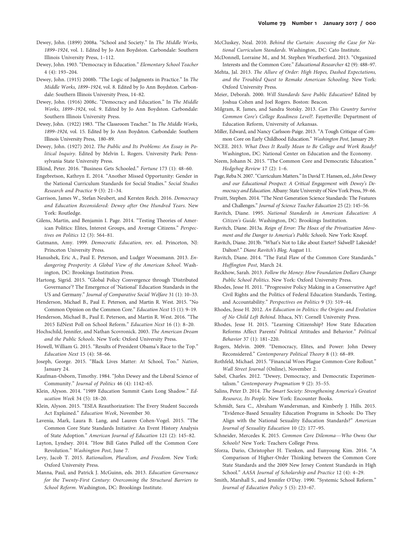- Dewey, John. (1899) 2008a. "School and Society." In The Middle Works, 1899–1924, vol. 1. Edited by Jo Ann Boydston. Carbondale: Southern Illinois University Press, 1–112.
- Dewey, John. 1903. "Democracy in Education." [Elementary School Teacher](http://www.journals.uchicago.edu/action/showLinks?system=10.1086%2F453309) 4 (4): 193–204.
- Dewey, John. (1915) 2008b. "The Logic of Judgments in Practice." In The Middle Works, 1899–1924, vol. 8. Edited by Jo Ann Boydston. Carbondale: Southern Illinois University Press, 14–82.
- Dewey, John. (1916) 2008c. "Democracy and Education." In The Middle Works, 1899–1924, vol. 9. Edited by Jo Ann Boydston. Carbondale: Southern Illinois University Press.
- Dewey, John. (1922) 1983. "The Classroom Teacher." In The Middle Works, 1899–1924, vol. 15. Edited by Jo Ann Boydston. Carbondale: Southern Illinois University Press, 180–89.
- Dewey, John. (1927) 2012. The Public and Its Problems: An Essay in Political Inquiry. Edited by Melvin L. Rogers. University Park: Pennsylvania State University Press.
- Elkind, Peter. 2016. "Business Gets Schooled." Fortune 173 (1): 48–60.
- Engebretson, Kathryn E. 2014. "Another Missed Opportunity: Gender in the National Curriculum Standards for Social Studies." Social Studies Research and Practice 9 (3): 21–34.
- Garrison, James W., Stefan Neubert, and Kersten Reich. 2016. Democracy and Education Reconsidered: Dewey after One Hundred Years. New York: Routledge.
- Gilens, Martin, and Benjamin I. Page. 2014. "Testing Theories of American Politics: Elites, Interest Groups, and Average Citizens." [Perspec](http://www.journals.uchicago.edu/action/showLinks?crossref=10.1017%2FS1537592714001595)[tives on Politics](http://www.journals.uchicago.edu/action/showLinks?crossref=10.1017%2FS1537592714001595) 12 (3): 564–81.
- Gutmann, Amy. 1999. Democratic Education, rev. ed. Princeton, NJ: Princeton University Press.
- Hanushek, Eric A., Paul E. Peterson, and Ludger Woessmann. 2013. Endangering Prosperity: A Global View of the American School. Washington, DC: Brookings Institution Press.
- Hartong, Sigrid. 2015. "Global Policy Convergence through 'Distributed Governance'? The Emergence of 'National' Education Standards in the US and Germany." Journal of Comparative Social Welfare 31 (1): 10–33.
- Henderson, Michael B., Paul E. Peterson, and Martin R. West. 2015. "No Common Opinion on the Common Core." Education Next 15 (1): 9–19.
- Henderson, Michael B., Paul E. Peterson, and Martin R. West. 2016. "The 2015 EdNext Poll on School Reform." Education Next 16 (1): 8–20.
- Hochschild, Jennifer, and Nathan Scovronick. 2003. The American Dream and the Public Schools. New York: Oxford University Press.
- Howell, William G. 2015. "Results of President Obama's Race to the Top." Education Next 15 (4): 58–66.
- Joseph, George. 2015. "Black Lives Matter: At School, Too." Nation, January 24.
- Kaufman-Osborn, Timothy. 1984. "John Dewey and the Liberal Science of Community." [Journal of Politics](http://www.journals.uchicago.edu/action/showLinks?system=10.2307%2F2131246) 46 (4): 1142–65.
- Klein, Alyson. 2014. "1989 Education Summit Casts Long Shadow." Education Week 34 (5): 18–20.
- Klein, Alyson. 2015. "ESEA Reauthorization: The Every Student Succeeds Act Explained." Education Week, November 30.
- Lavenia, Mark, Laura B. Lang, and Lauren Cohen-Vogel. 2015. "The Common Core State Standards Initiative: An Event History Analysis of State Adoption." [American Journal of Education](http://www.journals.uchicago.edu/action/showLinks?system=10.1086%2F679389) 121 (2): 145–82.
- Layton, Lyndsey. 2014. "How Bill Gates Pulled off the Common Core Revolution." Washington Post, June 7.
- Levy, Jacob T. 2015. Rationalism, Pluralism, and Freedom. New York: Oxford University Press.
- Manna, Paul, and Patrick J. McGuinn, eds. 2013. Education Governance for the Twenty-First Century: Overcoming the Structural Barriers to School Reform. Washington, DC: Brookings Institute.
- McCluskey, Neal. 2010. Behind the Curtain: Assessing the Case for National Curriculum Standards. Washington, DC: Cato Institute.
- McDonnell, Lorraine M., and M. Stephen Weatherford. 2013. "Organized Interests and the Common Core." [Educational Researcher](http://www.journals.uchicago.edu/action/showLinks?crossref=10.3102%2F0013189X13512676) 42 (9): 488–97.
- Mehta, Jal. 2013. The Allure of Order: High Hopes, Dashed Expectations, and the Troubled Quest to Remake American Schooling. New York: Oxford University Press.
- Meier, Deborah. 2000. Will Standards Save Public Education? Edited by Joshua Cohen and Joel Rogers. Boston: Beacon.
- Milgram, R. James, and Sandra Stotsky. 2013. Can This Country Survive Common Core's College Readiness Level?. Fayetteville: Department of Education Reform, University of Arkansas.
- Miller, Edward, and Nancy Carlsson-Paige. 2013. "A Tough Critique of Common Core on Early Childhood Education." Washington Post, January 29.
- NCEE. 2013. What Does It Really Mean to Be College and Work Ready? Washington, DC: National Center on Education and the Economy.
- Neem, Johann N. 2015. "The Common Core and Democratic Education." Hedgehog Review 17 (2): 1–6.
- Page, Reba N. 2007."Curriculum Matters."In David T. Hansen, ed., John Dewey and our Educational Prospect: A Critical Engagement with Dewey's Democracy and Education. Albany: State University of New York Press, 39–66.
- Pruitt, Stephen. 2014. "The Next Generation Science Standards: The Features and Challenges." [Journal of Science Teacher Education](http://www.journals.uchicago.edu/action/showLinks?crossref=10.1007%2Fs10972-014-9385-0) 25 (2): 145–56.
- Ravitch, Diane. 1995. National Standards in American Education: A Citizen's Guide. Washington, DC: Brookings Institution.
- Ravitch, Diane. 2013a. Reign of Error: The Hoax of the Privatization Movement and the Danger to America's Public Schools. New York: Knopf.
- Ravitch, Diane. 2013b. "What's Not to Like about Exeter? Sidwell? Lakeside? Dalton?." Diane Ravitch's Blog, August 11.
- Ravitch, Diane. 2014. "The Fatal Flaw of the Common Core Standards." Huffington Post, March 24.
- Reckhow, Sarah. 2013. Follow the Money: How Foundation Dollars Change Public School Politics. New York: Oxford University Press.
- Rhodes, Jesse H. 2011. "Progressive Policy Making in a Conservative Age? Civil Rights and the Politics of Federal Education Standards, Testing, and Accountability." [Perspectives on Politics](http://www.journals.uchicago.edu/action/showLinks?crossref=10.1017%2FS1537592711002738) 9 (3): 519–44.
- Rhodes, Jesse H. 2012. An Education in Politics: the Origins and Evolution of No Child Left Behind. Ithaca, NY: Cornell University Press.
- Rhodes, Jesse H. 2015. "Learning Citizenship? How State Education Reforms Affect Parents' Political Attitudes and Behavior." [Political](http://www.journals.uchicago.edu/action/showLinks?crossref=10.1007%2Fs11109-014-9270-8) [Behavior](http://www.journals.uchicago.edu/action/showLinks?crossref=10.1007%2Fs11109-014-9270-8) 37 (1): 181–220.
- Rogers, Melvin. 2009. "Democracy, Elites, and Power: John Dewey Reconsidered." [Contemporary Political Theory](http://www.journals.uchicago.edu/action/showLinks?crossref=10.1057%2Fcpt.2008.25) 8 (1): 68–89.
- Rothfeld, Michael. 2015. "Financial Woes Plague Common-Core Rollout." Wall Street Journal (Online), November 2.
- Sabel, Charles. 2012. "Dewey, Democracy, and Democratic Experimentalism." [Contemporary Pragmatism](http://www.journals.uchicago.edu/action/showLinks?crossref=10.1163%2F18758185-90000229) 9 (2): 35–55.
- Salins, Peter D. 2014. The Smart Society: Strengthening America's Greatest Resource, Its People. New York: Encounter Books.
- Schmidt, Sara C., Abraham Wandersman, and Kimberly J. Hills. 2015. "Evidence-Based Sexuality Education Programs in Schools: Do They Align with the National Sexuality Education Standards?" [American](http://www.journals.uchicago.edu/action/showLinks?crossref=10.1080%2F15546128.2015.1025937) [Journal of Sexuality Education](http://www.journals.uchicago.edu/action/showLinks?crossref=10.1080%2F15546128.2015.1025937) 10 (2): 177–95.
- Schneider, Mercedes K. 2015. Common Core Dilemma—Who Owns Our Schools? New York: Teachers College Press.
- Sforza, Dario, Christopher H. Tienken, and Eunyoung Kim. 2016. "A Comparison of Higher-Order Thinking between the Common Core State Standards and the 2009 New Jersey Content Standards in High School." AASA Journal of Scholarship and Practice 12 (4): 4–29.
- Smith, Marshall S., and Jennifer O'Day. 1990. "Systemic School Reform." [Journal of Education Policy](http://www.journals.uchicago.edu/action/showLinks?crossref=10.1080%2F02680939008549074) 5 (5): 233–67.